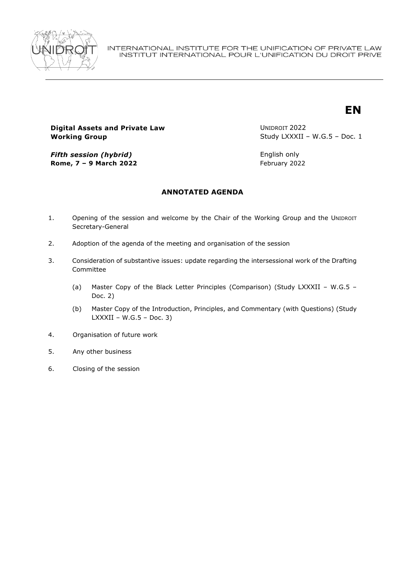

# **Digital Assets and Private Law Working Group**

UNIDROIT 2022 Study LXXXII – W.G.5 – Doc. 1

**EN**

*Fifth session (hybrid)* **Rome, 7 – 9 March 2022**

English only February 2022

# **ANNOTATED AGENDA**

- 1. Opening of the session and welcome by the Chair of the Working Group and the UNIDROIT Secretary-General
- 2. Adoption of the agenda of the meeting and organisation of the session
- 3. Consideration of substantive issues: update regarding the intersessional work of the Drafting Committee
	- (a) Master Copy of the Black Letter Principles (Comparison) (Study LXXXII W.G.5 Doc. 2)
	- (b) Master Copy of the Introduction, Principles, and Commentary (with Questions) (Study  $LXXXII - W.G.5 - Doc.$  3)
- 4. Organisation of future work
- 5. Any other business
- 6. Closing of the session